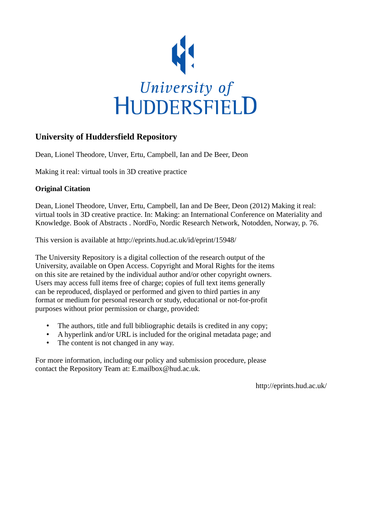

## **University of Huddersfield Repository**

Dean, Lionel Theodore, Unver, Ertu, Campbell, Ian and De Beer, Deon

Making it real: virtual tools in 3D creative practice

## **Original Citation**

Dean, Lionel Theodore, Unver, Ertu, Campbell, Ian and De Beer, Deon (2012) Making it real: virtual tools in 3D creative practice. In: Making: an International Conference on Materiality and Knowledge. Book of Abstracts . NordFo, Nordic Research Network, Notodden, Norway, p. 76.

This version is available at http://eprints.hud.ac.uk/id/eprint/15948/

The University Repository is a digital collection of the research output of the University, available on Open Access. Copyright and Moral Rights for the items on this site are retained by the individual author and/or other copyright owners. Users may access full items free of charge; copies of full text items generally can be reproduced, displayed or performed and given to third parties in any format or medium for personal research or study, educational or not-for-profit purposes without prior permission or charge, provided:

- The authors, title and full bibliographic details is credited in any copy;
- A hyperlink and/or URL is included for the original metadata page; and
- The content is not changed in any way.

For more information, including our policy and submission procedure, please contact the Repository Team at: E.mailbox@hud.ac.uk.

http://eprints.hud.ac.uk/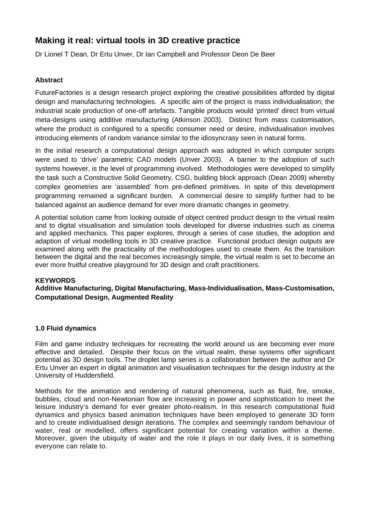# **Making it real: virtual tools in 3D creative practice**

Dr Lionel T Dean, Dr Ertu Unver, Dr Ian Campbell and Professor Deon De Beer

### **Abstract**

FutureFactories is a design research project exploring the creative possibilities afforded by digital design and manufacturing technologies. A specific aim of the project is mass individualisation; the industrial scale production of one-off artefacts. Tangible products would 'printed' direct from virtual meta-designs using additive manufacturing (Atkinson 2003). Distinct from mass customisation, where the product is configured to a specific consumer need or desire, individualisation involves introducing elements of random variance similar to the idiosyncrasy seen in natural forms.

In the initial research a computational design approach was adopted in which computer scripts were used to 'drive' parametric CAD models (Unver 2003). A barrier to the adoption of such systems however, is the level of programming involved. Methodologies were developed to simplify the task such a Constructive Solid Geometry, CSG, building block approach (Dean 2009) whereby complex geometries are 'assembled' from pre-defined primitives. In spite of this development programming remained a significant burden. A commercial desire to simplify further had to be balanced against an audience demand for ever more dramatic changes in geometry.

A potential solution came from looking outside of object centred product design to the virtual realm and to digital visualisation and simulation tools developed for diverse industries such as cinema and applied mechanics. This paper explores, through a series of case studies, the adoption and adaption of virtual modelling tools in 3D creative practice. Functional product design outputs are examined along with the practicality of the methodologies used to create them. As the transition between the digital and the real becomes increasingly simple, the virtual realm is set to become an ever more fruitful creative playground for 3D design and craft practitioners.

#### **KEYWORDS**

## **Additive Manufacturing, Digital Manufacturing, Mass-Individualisation, Mass-Customisation, Computational Design, Augmented Reality**

#### **1.0 Fluid dynamics**

Film and game industry techniques for recreating the world around us are becoming ever more effective and detailed. Despite their focus on the virtual realm, these systems offer significant potential as 3D design tools. The droplet lamp series is a collaboration between the author and Dr Ertu Unver an expert in digital animation and visualisation techniques for the design industry at the University of Huddersfield.

Methods for the animation and rendering of natural phenomena, such as fluid, fire, smoke, bubbles, cloud and non-Newtonian flow are increasing in power and sophistication to meet the leisure industry's demand for ever greater photo-realism. In this research computational fluid dynamics and physics based animation techniques have been employed to generate 3D form and to create individualised design iterations. The complex and seemingly random behaviour of water, real or modelled, offers significant potential for creating variation within a theme. Moreover, given the ubiquity of water and the role it plays in our daily lives, it is something everyone can relate to.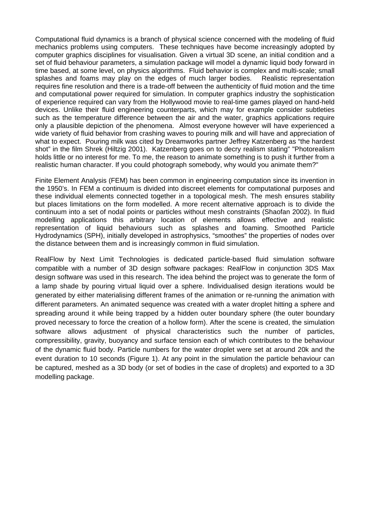Computational fluid dynamics is a branch of physical science concerned with the modeling of fluid mechanics problems using computers. These techniques have become increasingly adopted by computer graphics disciplines for visualisation. Given a virtual 3D scene, an initial condition and a set of fluid behaviour parameters, a simulation package will model a dynamic liquid body forward in time based, at some level, on physics algorithms. Fluid behavior is complex and multi-scale; small splashes and foams may play on the edges of much larger bodies. Realistic representation requires fine resolution and there is a trade-off between the authenticity of fluid motion and the time and computational power required for simulation. In computer graphics industry the sophistication of experience required can vary from the Hollywood movie to real-time games played on hand-held devices. Unlike their fluid engineering counterparts, which may for example consider subtleties such as the temperature difference between the air and the water, graphics applications require only a plausible depiction of the phenomena. Almost everyone however will have experienced a wide variety of fluid behavior from crashing waves to pouring milk and will have and appreciation of what to expect. Pouring milk was cited by Dreamworks partner Jeffrey Katzenberg as "the hardest shot" in the film Shrek (Hiltzig 2001). Katzenberg goes on to decry realism stating" "Photorealism holds little or no interest for me. To me, the reason to animate something is to push it further from a realistic human character. If you could photograph somebody, why would you animate them?"

Finite Element Analysis (FEM) has been common in engineering computation since its invention in the 1950's. In FEM a continuum is divided into discreet elements for computational purposes and these individual elements connected together in a topological mesh. The mesh ensures stability but places limitations on the form modelled. A more recent alternative approach is to divide the continuum into a set of nodal points or particles without mesh constraints (Shaofan 2002). In fluid modelling applications this arbitrary location of elements allows effective and realistic representation of liquid behaviours such as splashes and foaming. Smoothed Particle Hydrodynamics (SPH), initially developed in astrophysics, "smoothes" the properties of nodes over the distance between them and is increasingly common in fluid simulation.

RealFlow by Next Limit Technologies is dedicated particle-based fluid simulation software compatible with a number of 3D design software packages: RealFlow in conjunction 3DS Max design software was used in this research. The idea behind the project was to generate the form of a lamp shade by pouring virtual liquid over a sphere. Individualised design iterations would be generated by either materialising different frames of the animation or re-running the animation with different parameters. An animated sequence was created with a water droplet hitting a sphere and spreading around it while being trapped by a hidden outer boundary sphere (the outer boundary proved necessary to force the creation of a hollow form). After the scene is created, the simulation software allows adjustment of physical characteristics such the number of particles, compressibility, gravity, buoyancy and surface tension each of which contributes to the behaviour of the dynamic fluid body. Particle numbers for the water droplet were set at around 20k and the event duration to 10 seconds (Figure 1). At any point in the simulation the particle behaviour can be captured, meshed as a 3D body (or set of bodies in the case of droplets) and exported to a 3D modelling package.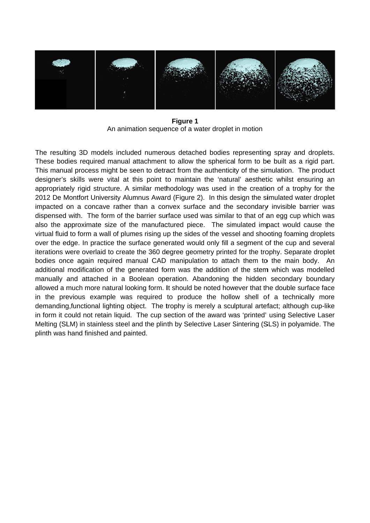

Figure 1 An animation sequence of a water droplet in motion

The resulting 3D models included numerous detached bodies representing spray and droplets. These bodies required manual attachment to allow the spherical form to be built as a rigid part. This manual process might be seen to detract from the authenticity of the simulation. The product designer's skills were vital at this point to maintain the 'natural' aesthetic whilst ensuring an appropriately rigid structure. A similar methodology was used in the creation of a trophy for the 2012 De Montfort University Alumnus Award (Figure 2). In this design the simulated water droplet impacted on a concave rather than a convex surface and the secondary invisible barrier was dispensed with. The form of the barrier surface used was similar to that of an egg cup which was also the approximate size of the manufactured piece. The simulated impact would cause the virtual fluid to form a wall of plumes rising up the sides of the vessel and shooting foaming droplets over the edge. In practice the surface generated would only fill a segment of the cup and several iterations were overlaid to create the 360 degree geometry printed for the trophy. Separate droplet bodies once again required manual CAD manipulation to attach them to the main body. An additional modification of the generated form was the addition of the stem which was modelled manually and attached in a Boolean operation. Abandoning the hidden secondary boundary allowed a much more natural looking form. It should be noted however that the double surface face in the previous example was required to produce the hollow shell of a technically more demanding, functional lighting object. The trophy is merely a sculptural artefact; although cup-like in form it could not retain liquid. The cup section of the award was 'printed' using Selective Laser Melting (SLM) in stainless steel and the plinth by Selective Laser Sintering (SLS) in polyamide. The plinth was hand finished and painted.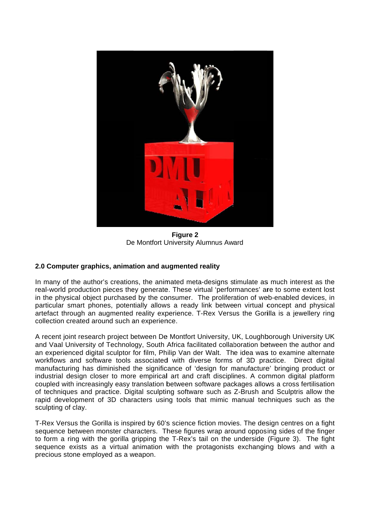

**Figure 2** De Montfort University Alumnus Award

## 2.0 Computer graphics, animation and augmented reality

In many of the author's creations, the animated meta-designs stimulate as much interest as the real-world production pieces they generate. These virtual 'performances' are to some extent lost in the physical object purchased by the consumer. The proliferation of web-enabled devices, in particular smart phones, potentially allows a ready link between virtual concept and physical artefact through an augmented reality experience. T-Rex Versus the Gorilla is a jewellery ring collection created around such an experience.

A recent joint research project between De Montfort University, UK, Loughborough University UK and Vaal University of Technology. South Africa facilitated collaboration between the author and an experienced digital sculptor for film, Philip Van der Walt. The idea was to examine alternate workflows and software tools associated with diverse forms of 3D practice. Direct digital manufacturing has diminished the significance of 'design for manufacture' bringing product or industrial design closer to more empirical art and craft disciplines. A common digital platform coupled with increasingly easy translation between software packages allows a cross fertilisation of techniques and practice. Digital sculpting software such as Z-Brush and Sculptris allow the rapid development of 3D characters using tools that mimic manual techniques such as the sculpting of clay.

T-Rex Versus the Gorilla is inspired by 60's science fiction movies. The design centres on a fight sequence between monster characters. These figures wrap around opposing sides of the finger to form a ring with the gorilla gripping the T-Rex's tail on the underside (Figure 3). The fight sequence exists as a virtual animation with the protagonists exchanging blows and with a precious stone employed as a weapon.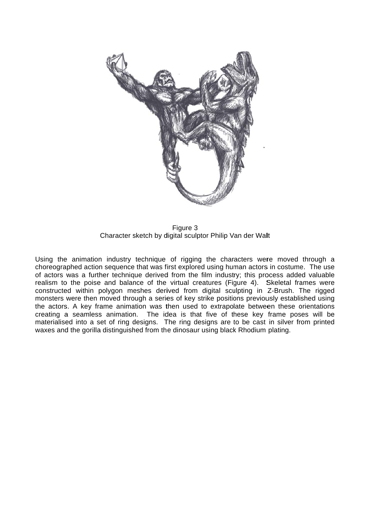

Character sketch by digital sculptor Philip Van der Walt Figure 3

Using the animation industry technique of rigging the characters were moved through a choreographed action sequence that was first explored using human actors in costume. The use of actors was a further technique derived from the film industry; this process added valuable realism to the poise and balance of the virtual creatures (Figure 4). Skeletal frames were constructed within polygon meshes derived from digital sculpting in Z-Brush. The rigged monsters were then moved through a series of key strike positions previously established using the actors. A key frame animation was then used to extrapolate between these orientations creating a seamless animation. The idea is that five of these key frame poses will be materialised into a set of ring designs. The ring designs are to be cast in silver from printed waxes and the gorilla distinguished from the dinosaur using black Rhodium plating. eee<br>edgs<br>ed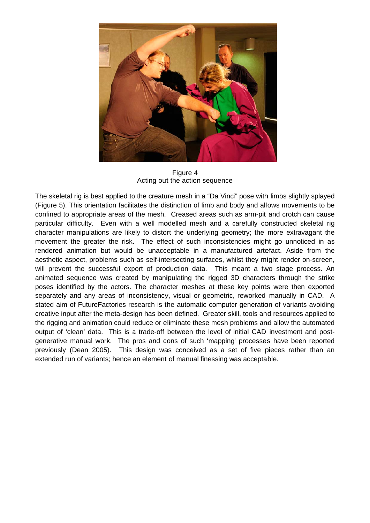

Figure 4 Acting out the action sequence

The skeletal rig is best applied to the creature mesh in a "Da Vinci" pose with limbs slightly splayed (Figure 5). This orientation facilitates the distinction of limb and body and allows movements to be confined to appropriate areas of the mesh. Creased areas such as arm-pit and crotch can cause particular difficulty. Even with a well modelled mesh and a carefully constructed skeletal rig character manipulations are likely to distort the underlying geometry; the more extravagant the movement the greater the risk. The effect of such inconsistencies might go unnoticed in as rendered animation but would be unacceptable in a manufactured artefact. Aside from the aesthetic aspect, problems such as self-intersecting surfaces, whilst they might render on-screen, will prevent the successful export of production data. This meant a two stage process. An animated sequence was created by manipulating the rigged 3D characters through the strike poses identified by the actors. The character meshes at these key points were then exported separately and any areas of inconsistency, visual or geometric, reworked manually in CAD. A stated aim of FutureFactories research is the automatic computer generation of variants avoiding creative input after the meta-design has been defined. Greater skill, tools and resources applied to the rigging and animation could reduce or eliminate these mesh problems and allow the automated output of 'clean' data. This is a trade-off between the level of initial CAD investment and postgenerative manual work. The pros and cons of such 'mapping' processes have been reported previously (Dean 2005). This design was conceived as a set of five pieces rather than an extended run of variants; hence an element of manual finessing was acceptable.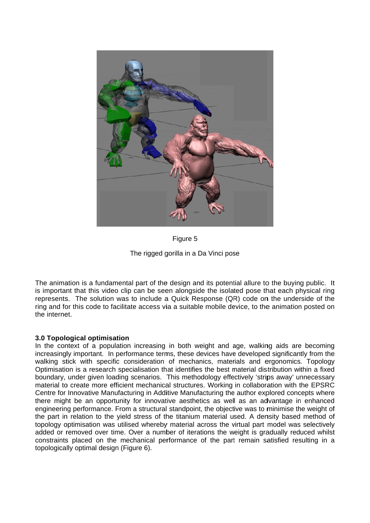

Figure 5

The rigged gorilla in a Da Vinci pose

The animation is a fundamental part of the design and its potential allure to the buying public. It is important that this video clip can be seen alongside the isolated pose that each physical ring represents. The solution was to include a Quick Response (QR) code on the underside of the ring and for this code to facilitate access via a suitable mobile device, to the animation posted on the internet.

## 3.0 Topological optimisation

In the context of a population increasing in both weight and age, walking aids are becoming increasingly important. In performance terms, these devices have developed significantly from the walking stick with specific consideration of mechanics, materials and ergonomics. Topology Optimisation is a research specialisation that identifies the best material distribution within a fixed boundary, under given loading scenarios. This methodology effectively 'strips away' unnecessary material to create more efficient mechanical structures. Working in collaboration with the EPSRC Centre for Innovative Manufacturing in Additive Manufacturing the author explored concepts where there might be an opportunity for innovative aesthetics as well as an advantage in enhanced engineering performance. From a structural standpoint, the objective was to minimise the weight of the part in relation to the yield stress of the titanium material used. A density based method of topology optimisation was utilised whereby material across the virtual part model was selectively added or removed over time. Over a number of iterations the weight is gradually reduced whilst constraints placed on the mechanical performance of the part remain satisfied resulting in a topologically optimal design (Figure 6).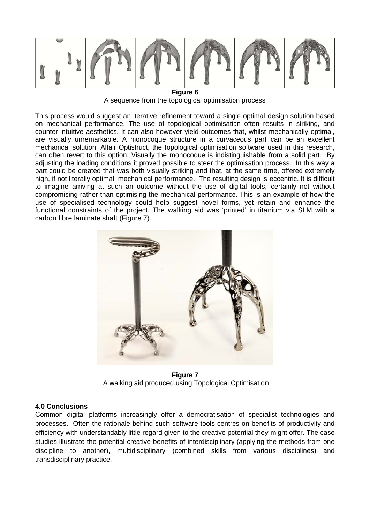

Figure 6 A sequence from the topological optimisation process

This process would suggest an iterative refinement toward a single optimal design solution based on mechanical performance. The use of topological optimisation often results in striking, and counter-intuitive aesthetics. It can also however yield outcomes that, whilst mechanically optimal, are visually unremarkable. A monocoque structure in a curvaceous part can be an excellent mechanical solution: Altair Optistruct, the topological optimisation software used in this research. can often revert to this option. Visually the monocogue is indistinguishable from a solid part. By adjusting the loading conditions it proved possible to steer the optimisation process. In this way a part could be created that was both visually striking and that, at the same time, offered extremely high, if not literally optimal, mechanical performance. The resulting design is eccentric. It is difficult to imagine arriving at such an outcome without the use of digital tools, certainly not without compromising rather than optimising the mechanical performance. This is an example of how the use of specialised technology could help suggest novel forms, yet retain and enhance the functional constraints of the project. The walking aid was 'printed' in titanium via SLM with a carbon fibre laminate shaft (Figure 7).



Figure 7 A walking aid produced using Topological Optimisation

#### **4.0 Conclusions**

Common digital platforms increasingly offer a democratisation of specialist technologies and processes. Often the rationale behind such software tools centres on benefits of productivity and efficiency with understandably little regard given to the creative potential they might offer. The case studies illustrate the potential creative benefits of interdisciplinary (applying the methods from one discipline to another), multidisciplinary (combined skills from various disciplines) and transdisciplinary practice.